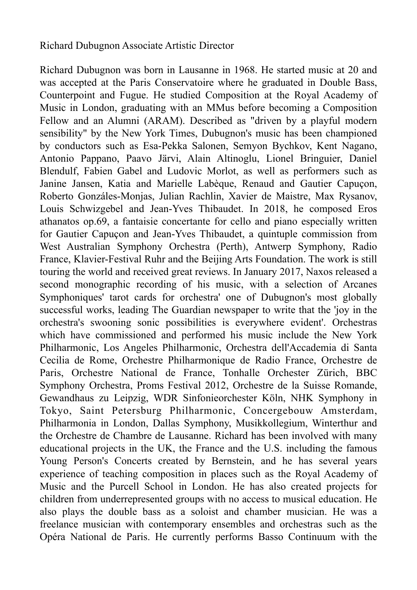## Richard Dubugnon Associate Artistic Director

Richard Dubugnon was born in Lausanne in 1968. He started music at 20 and was accepted at the Paris Conservatoire where he graduated in Double Bass, Counterpoint and Fugue. He studied Composition at the Royal Academy of Music in London, graduating with an MMus before becoming a Composition Fellow and an Alumni (ARAM). Described as "driven by a playful modern sensibility" by the New York Times, Dubugnon's music has been championed by conductors such as Esa-Pekka Salonen, Semyon Bychkov, Kent Nagano, Antonio Pappano, Paavo Järvi, Alain Altinoglu, Lionel Bringuier, Daniel Blendulf, Fabien Gabel and Ludovic Morlot, as well as performers such as Janine Jansen, Katia and Marielle Labèque, Renaud and Gautier Capuçon, Roberto Gonzáles-Monjas, Julian Rachlin, Xavier de Maistre, Max Rysanov, Louis Schwizgebel and Jean-Yves Thibaudet. In 2018, he composed Eros athanatos op.69, a fantaisie concertante for cello and piano especially written for Gautier Capuçon and Jean-Yves Thibaudet, a quintuple commission from West Australian Symphony Orchestra (Perth), Antwerp Symphony, Radio France, Klavier-Festival Ruhr and the Beijing Arts Foundation. The work is still touring the world and received great reviews. In January 2017, Naxos released a second monographic recording of his music, with a selection of Arcanes Symphoniques' tarot cards for orchestra' one of Dubugnon's most globally successful works, leading The Guardian newspaper to write that the 'joy in the orchestra's swooning sonic possibilities is everywhere evident'. Orchestras which have commissioned and performed his music include the New York Philharmonic, Los Angeles Philharmonic, Orchestra dell'Accademia di Santa Cecilia de Rome, Orchestre Philharmonique de Radio France, Orchestre de Paris, Orchestre National de France, Tonhalle Orchester Zürich, BBC Symphony Orchestra, Proms Festival 2012, Orchestre de la Suisse Romande, Gewandhaus zu Leipzig, WDR Sinfonieorchester Köln, NHK Symphony in Tokyo, Saint Petersburg Philharmonic, Concergebouw Amsterdam, Philharmonia in London, Dallas Symphony, Musikkollegium, Winterthur and the Orchestre de Chambre de Lausanne. Richard has been involved with many educational projects in the UK, the France and the U.S. including the famous Young Person's Concerts created by Bernstein, and he has several years experience of teaching composition in places such as the Royal Academy of Music and the Purcell School in London. He has also created projects for children from underrepresented groups with no access to musical education. He also plays the double bass as a soloist and chamber musician. He was a freelance musician with contemporary ensembles and orchestras such as the Opéra National de Paris. He currently performs Basso Continuum with the